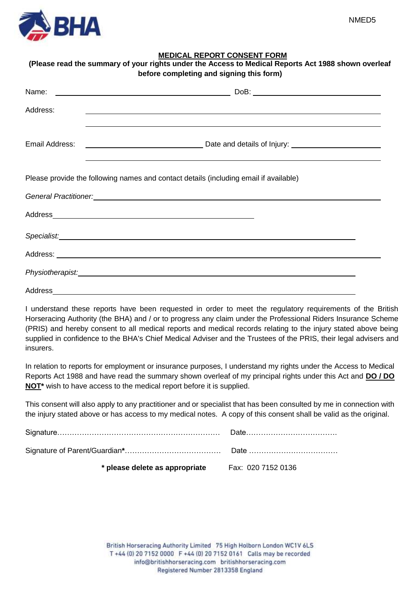

|          | before completing and signing this form)                                                                             |
|----------|----------------------------------------------------------------------------------------------------------------------|
| Address: | <u> 2000 - Andrea Andrew Maria (h. 1888).</u>                                                                        |
|          |                                                                                                                      |
|          |                                                                                                                      |
|          | Please provide the following names and contact details (including email if available)                                |
|          | General Practitioner: <u>Contract Communication</u> Contract Communication Communication Communication Communication |
|          |                                                                                                                      |
|          |                                                                                                                      |
|          |                                                                                                                      |
|          |                                                                                                                      |
|          |                                                                                                                      |

I understand these reports have been requested in order to meet the regulatory requirements of the British Horseracing Authority (the BHA) and / or to progress any claim under the Professional Riders Insurance Scheme (PRIS) and hereby consent to all medical reports and medical records relating to the injury stated above being supplied in confidence to the BHA's Chief Medical Adviser and the Trustees of the PRIS, their legal advisers and insurers.

In relation to reports for employment or insurance purposes, I understand my rights under the Access to Medical Reports Act 1988 and have read the summary shown overleaf of my principal rights under this Act and **DO / DO NOT**<sup>\*</sup> wish to have access to the medical report before it is supplied.

This consent will also apply to any practitioner and or specialist that has been consulted by me in connection with the injury stated above or has access to my medical notes. A copy of this consent shall be valid as the original.

| * please delete as appropriate Fax: 020 7152 0136 |  |
|---------------------------------------------------|--|